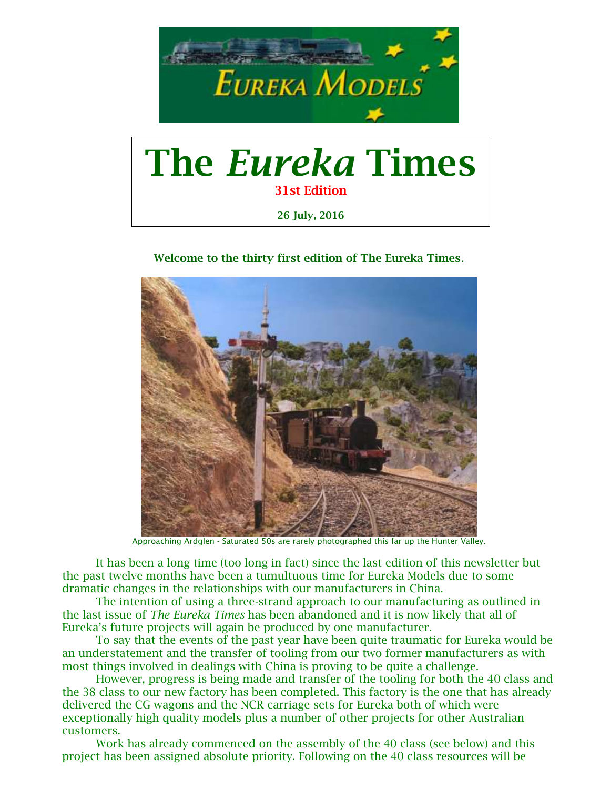

# The *Eureka* Times 31st Edition 26 July, 2016

## Welcome to the thirty first edition of The Eureka Times.



Approaching Ardglen - Saturated 50s are rarely photographed this far up the Hunter Valley.

It has been a long time (too long in fact) since the last edition of this newsletter but the past twelve months have been a tumultuous time for Eureka Models due to some dramatic changes in the relationships with our manufacturers in China.

The intention of using a three-strand approach to our manufacturing as outlined in the last issue of *The Eureka Times* has been abandoned and it is now likely that all of Eureka's future projects will again be produced by one manufacturer.

To say that the events of the past year have been quite traumatic for Eureka would be an understatement and the transfer of tooling from our two former manufacturers as with most things involved in dealings with China is proving to be quite a challenge.

However, progress is being made and transfer of the tooling for both the 40 class and the 38 class to our new factory has been completed. This factory is the one that has already delivered the CG wagons and the NCR carriage sets for Eureka both of which were exceptionally high quality models plus a number of other projects for other Australian customers.

Work has already commenced on the assembly of the 40 class (see below) and this project has been assigned absolute priority. Following on the 40 class resources will be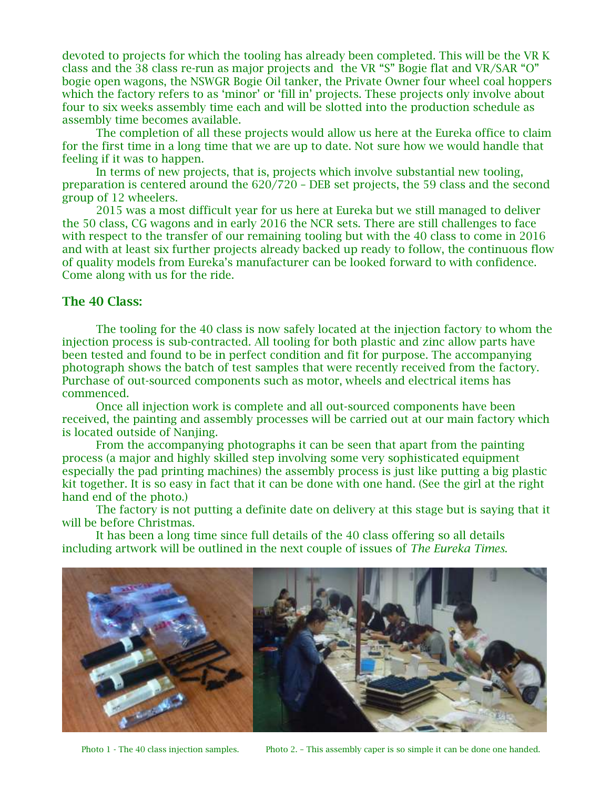devoted to projects for which the tooling has already been completed. This will be the VR K class and the 38 class re-run as major projects and the VR "S" Bogie flat and VR/SAR "O" bogie open wagons, the NSWGR Bogie Oil tanker, the Private Owner four wheel coal hoppers which the factory refers to as 'minor' or 'fill in' projects. These projects only involve about four to six weeks assembly time each and will be slotted into the production schedule as assembly time becomes available.

The completion of all these projects would allow us here at the Eureka office to claim for the first time in a long time that we are up to date. Not sure how we would handle that feeling if it was to happen.

In terms of new projects, that is, projects which involve substantial new tooling, preparation is centered around the 620/720 – DEB set projects, the 59 class and the second group of 12 wheelers.

2015 was a most difficult year for us here at Eureka but we still managed to deliver the 50 class, CG wagons and in early 2016 the NCR sets. There are still challenges to face with respect to the transfer of our remaining tooling but with the 40 class to come in 2016 and with at least six further projects already backed up ready to follow, the continuous flow of quality models from Eureka's manufacturer can be looked forward to with confidence. Come along with us for the ride.

# The 40 Class:

The tooling for the 40 class is now safely located at the injection factory to whom the injection process is sub-contracted. All tooling for both plastic and zinc allow parts have been tested and found to be in perfect condition and fit for purpose. The accompanying photograph shows the batch of test samples that were recently received from the factory. Purchase of out-sourced components such as motor, wheels and electrical items has commenced.

Once all injection work is complete and all out-sourced components have been received, the painting and assembly processes will be carried out at our main factory which is located outside of Nanjing.

From the accompanying photographs it can be seen that apart from the painting process (a major and highly skilled step involving some very sophisticated equipment especially the pad printing machines) the assembly process is just like putting a big plastic kit together. It is so easy in fact that it can be done with one hand. (See the girl at the right hand end of the photo.)

The factory is not putting a definite date on delivery at this stage but is saying that it will be before Christmas.

It has been a long time since full details of the 40 class offering so all details including artwork will be outlined in the next couple of issues of *The Eureka Times*.



Photo 1 - The 40 class injection samples. Photo 2. – This assembly caper is so simple it can be done one handed.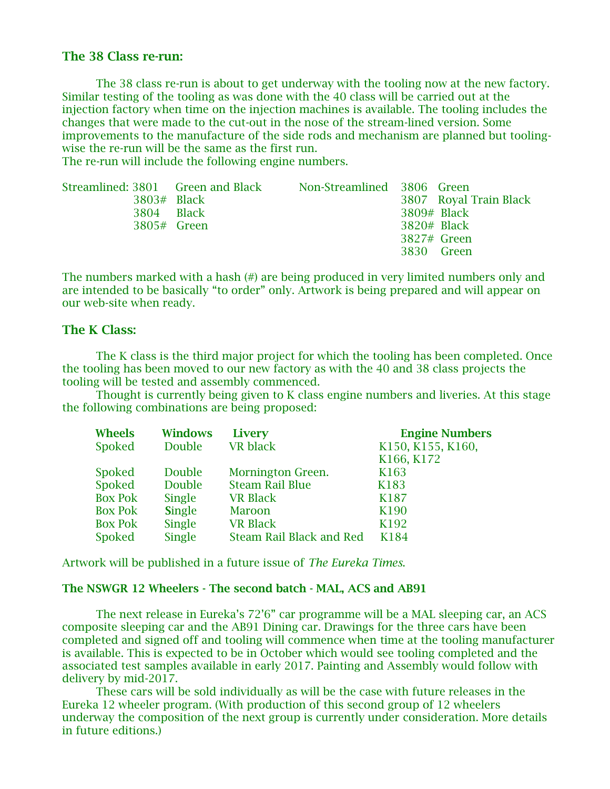## The 38 Class re-run:

The 38 class re-run is about to get underway with the tooling now at the new factory. Similar testing of the tooling as was done with the 40 class will be carried out at the injection factory when time on the injection machines is available. The tooling includes the changes that were made to the cut-out in the nose of the stream-lined version. Some improvements to the manufacture of the side rods and mechanism are planned but toolingwise the re-run will be the same as the first run.

The re-run will include the following engine numbers.

|               | Streamlined: 3801 Green and Black | Non-Streamlined 3806 Green |               |                        |
|---------------|-----------------------------------|----------------------------|---------------|------------------------|
| $3803#$ Black |                                   |                            |               | 3807 Royal Train Black |
| 3804 Black    |                                   |                            | 3809# Black   |                        |
| 3805# Green   |                                   |                            | $3820#$ Black |                        |
|               |                                   |                            | 3827# Green   |                        |
|               |                                   |                            | 3830 Green    |                        |
|               |                                   |                            |               |                        |

The numbers marked with a hash (#) are being produced in very limited numbers only and are intended to be basically "to order" only. Artwork is being prepared and will appear on our web-site when ready.

### The K Class:

The K class is the third major project for which the tooling has been completed. Once the tooling has been moved to our new factory as with the 40 and 38 class projects the tooling will be tested and assembly commenced.

Thought is currently being given to K class engine numbers and liveries. At this stage the following combinations are being proposed:

| <b>Wheels</b>  | <b>Windows</b> | <b>Livery</b>                   | <b>Engine Numbers</b> |
|----------------|----------------|---------------------------------|-----------------------|
| Spoked         | Double         | <b>VR</b> black                 | K150, K155, K160,     |
|                |                |                                 | K166, K172            |
| <b>Spoked</b>  | Double         | Mornington Green.               | K163                  |
| Spoked         | Double         | <b>Steam Rail Blue</b>          | K183                  |
| <b>Box Pok</b> | Single         | <b>VR Black</b>                 | K187                  |
| <b>Box Pok</b> | <b>Single</b>  | <b>Maroon</b>                   | K190                  |
| <b>Box Pok</b> | Single         | <b>VR Black</b>                 | K192                  |
| <b>Spoked</b>  | <b>Single</b>  | <b>Steam Rail Black and Red</b> | K184                  |

Artwork will be published in a future issue of *The Eureka Times*.

#### The NSWGR 12 Wheelers - The second batch - MAL, ACS and AB91

The next release in Eureka's 72'6" car programme will be a MAL sleeping car, an ACS composite sleeping car and the AB91 Dining car. Drawings for the three cars have been completed and signed off and tooling will commence when time at the tooling manufacturer is available. This is expected to be in October which would see tooling completed and the associated test samples available in early 2017. Painting and Assembly would follow with delivery by mid-2017.

These cars will be sold individually as will be the case with future releases in the Eureka 12 wheeler program. (With production of this second group of 12 wheelers underway the composition of the next group is currently under consideration. More details in future editions.)